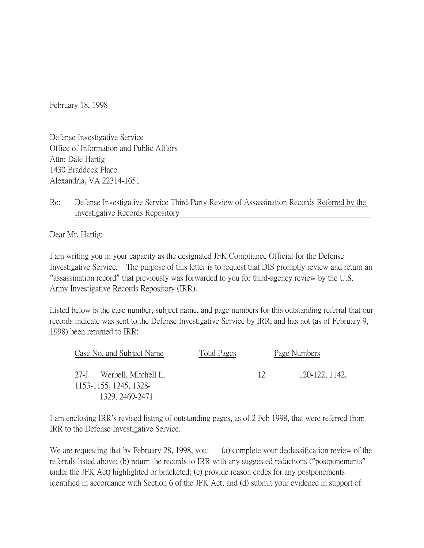February 18, 1998

Defense Investigative Service Office of Information and Public Affairs Attn: Dale Hartig 1430 Braddock Place Alexandria, VA 22314-1651

## Re: Defense Investigative Service Third-Party Review of Assassination Records Referred by the Investigative Records Repository

Dear Mr. Hartig:

I am writing you in your capacity as the designated JFK Compliance Official for the Defense Investigative Service. The purpose of this letter is to request that DIS promptly review and return an "assassination record" that previously was forwarded to you for third-agency review by the U.S. Army Investigative Records Repository (IRR).

Listed below is the case number, subject name, and page numbers for this outstanding referral that our records indicate was sent to the Defense Investigative Service by IRR, and has not (as of February 9, 1998) been returned to IRR:

| Case No. and Subject Name                           |  | Total Pages |               | Page Numbers   |  |
|-----------------------------------------------------|--|-------------|---------------|----------------|--|
| 27-J Werbell, Mitchell L.<br>1153-1155, 1245, 1328- |  |             | $\frac{1}{2}$ | 120-122, 1142, |  |
| 1329, 2469-2471                                     |  |             |               |                |  |

I am enclosing IRR's revised listing of outstanding pages, as of 2 Feb 1998, that were referred from IRR to the Defense Investigative Service.

We are requesting that by February 28, 1998, you: (a) complete your declassification review of the referrals listed above; (b) return the records to IRR with any suggested redactions ("postponements" under the JFK Act) highlighted or bracketed; (c) provide reason codes for any postponements identified in accordance with Section 6 of the JFK Act; and (d) submit your evidence in support of